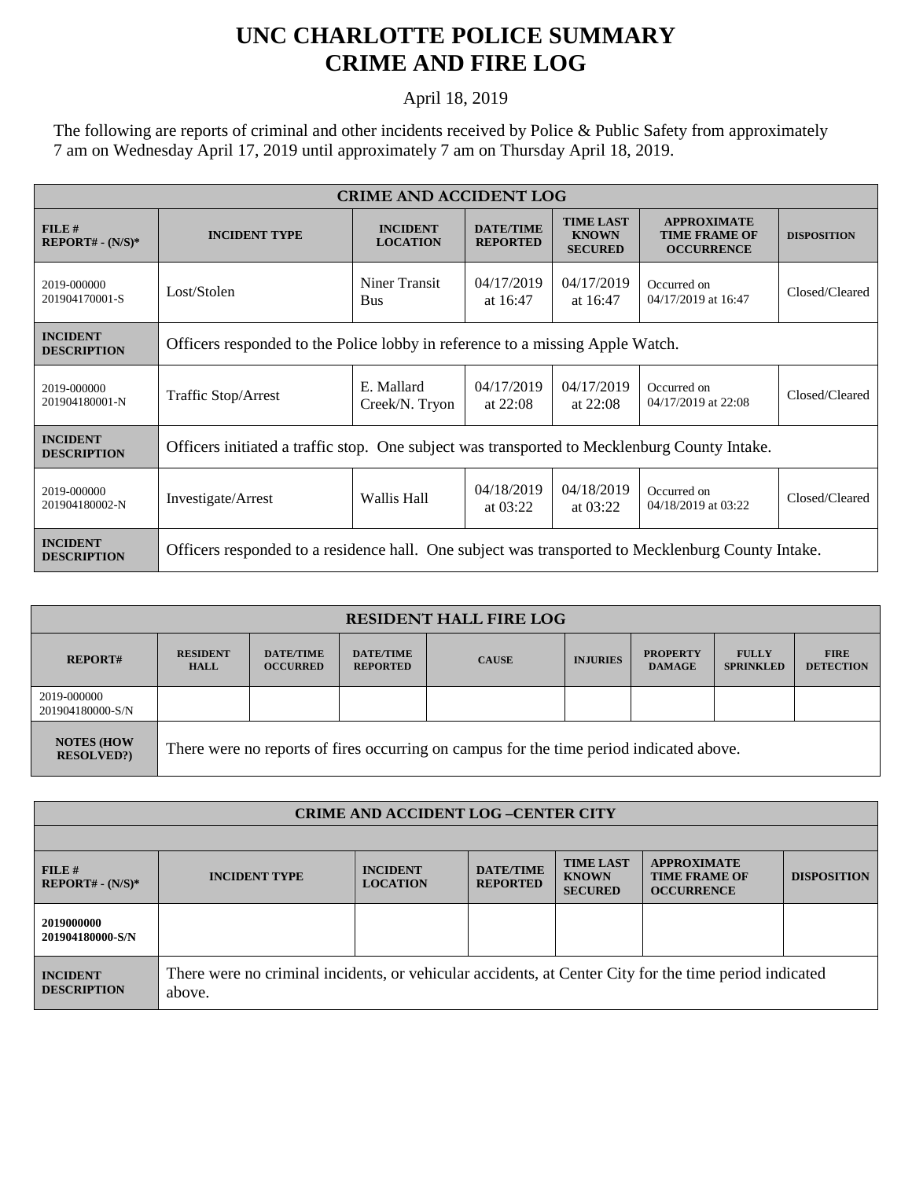## **UNC CHARLOTTE POLICE SUMMARY CRIME AND FIRE LOG**

## April 18, 2019

The following are reports of criminal and other incidents received by Police & Public Safety from approximately 7 am on Wednesday April 17, 2019 until approximately 7 am on Thursday April 18, 2019.

| <b>CRIME AND ACCIDENT LOG</b>         |                                                                                                   |                                    |                                     |                                                    |                                                                 |                    |  |
|---------------------------------------|---------------------------------------------------------------------------------------------------|------------------------------------|-------------------------------------|----------------------------------------------------|-----------------------------------------------------------------|--------------------|--|
| FILE#<br>$REPORT# - (N/S)*$           | <b>INCIDENT TYPE</b>                                                                              | <b>INCIDENT</b><br><b>LOCATION</b> | <b>DATE/TIME</b><br><b>REPORTED</b> | <b>TIME LAST</b><br><b>KNOWN</b><br><b>SECURED</b> | <b>APPROXIMATE</b><br><b>TIME FRAME OF</b><br><b>OCCURRENCE</b> | <b>DISPOSITION</b> |  |
| 2019-000000<br>201904170001-S         | Lost/Stolen                                                                                       | Niner Transit<br><b>Bus</b>        | 04/17/2019<br>at 16:47              | 04/17/2019<br>at 16:47                             | Occurred on<br>04/17/2019 at 16:47                              | Closed/Cleared     |  |
| <b>INCIDENT</b><br><b>DESCRIPTION</b> | Officers responded to the Police lobby in reference to a missing Apple Watch.                     |                                    |                                     |                                                    |                                                                 |                    |  |
| 2019-000000<br>201904180001-N         | <b>Traffic Stop/Arrest</b>                                                                        | E. Mallard<br>Creek/N. Tryon       | 04/17/2019<br>at $22:08$            | 04/17/2019<br>at $22:08$                           | Occurred on<br>04/17/2019 at 22:08                              | Closed/Cleared     |  |
| <b>INCIDENT</b><br><b>DESCRIPTION</b> | Officers initiated a traffic stop. One subject was transported to Mecklenburg County Intake.      |                                    |                                     |                                                    |                                                                 |                    |  |
| 2019-000000<br>201904180002-N         | Investigate/Arrest                                                                                | Wallis Hall                        | 04/18/2019<br>at $03:22$            | 04/18/2019<br>at 03:22                             | Occurred on<br>04/18/2019 at 03:22                              | Closed/Cleared     |  |
| <b>INCIDENT</b><br><b>DESCRIPTION</b> | Officers responded to a residence hall. One subject was transported to Mecklenburg County Intake. |                                    |                                     |                                                    |                                                                 |                    |  |

| <b>RESIDENT HALL FIRE LOG</b>         |                                                                                         |                                     |                                     |              |                 |                                  |                                  |                                 |
|---------------------------------------|-----------------------------------------------------------------------------------------|-------------------------------------|-------------------------------------|--------------|-----------------|----------------------------------|----------------------------------|---------------------------------|
| <b>REPORT#</b>                        | <b>RESIDENT</b><br><b>HALL</b>                                                          | <b>DATE/TIME</b><br><b>OCCURRED</b> | <b>DATE/TIME</b><br><b>REPORTED</b> | <b>CAUSE</b> | <b>INJURIES</b> | <b>PROPERTY</b><br><b>DAMAGE</b> | <b>FULLY</b><br><b>SPRINKLED</b> | <b>FIRE</b><br><b>DETECTION</b> |
| 2019-000000<br>201904180000-S/N       |                                                                                         |                                     |                                     |              |                 |                                  |                                  |                                 |
| <b>NOTES (HOW</b><br><b>RESOLVED?</b> | There were no reports of fires occurring on campus for the time period indicated above. |                                     |                                     |              |                 |                                  |                                  |                                 |

| <b>CRIME AND ACCIDENT LOG-CENTER CITY</b> |                                                                                                                  |                                    |                                     |                                                    |                                                                 |                    |  |
|-------------------------------------------|------------------------------------------------------------------------------------------------------------------|------------------------------------|-------------------------------------|----------------------------------------------------|-----------------------------------------------------------------|--------------------|--|
|                                           |                                                                                                                  |                                    |                                     |                                                    |                                                                 |                    |  |
| FILE#<br>$REPORT# - (N/S)*$               | <b>INCIDENT TYPE</b>                                                                                             | <b>INCIDENT</b><br><b>LOCATION</b> | <b>DATE/TIME</b><br><b>REPORTED</b> | <b>TIME LAST</b><br><b>KNOWN</b><br><b>SECURED</b> | <b>APPROXIMATE</b><br><b>TIME FRAME OF</b><br><b>OCCURRENCE</b> | <b>DISPOSITION</b> |  |
| 2019000000<br>201904180000-S/N            |                                                                                                                  |                                    |                                     |                                                    |                                                                 |                    |  |
| <b>INCIDENT</b><br><b>DESCRIPTION</b>     | There were no criminal incidents, or vehicular accidents, at Center City for the time period indicated<br>above. |                                    |                                     |                                                    |                                                                 |                    |  |